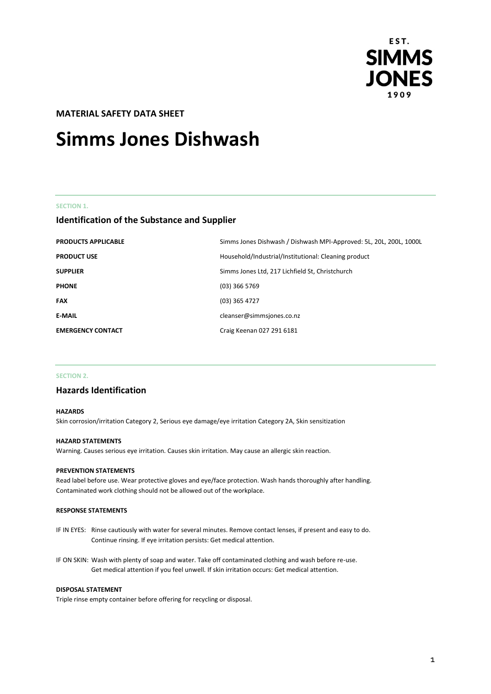

# **MATERIAL SAFETY DATA SHEET**

# **Simms Jones Dishwash**

#### **SECTION 1.**

# **Identification of the Substance and Supplier**

| <b>PRODUCTS APPLICABLE</b> | Simms Jones Dishwash / Dishwash MPI-Approved: 5L, 20L, 200L, 1000L |
|----------------------------|--------------------------------------------------------------------|
| <b>PRODUCT USE</b>         | Household/Industrial/Institutional: Cleaning product               |
| <b>SUPPLIER</b>            | Simms Jones Ltd, 217 Lichfield St, Christchurch                    |
| <b>PHONE</b>               | $(03)$ 366 5769                                                    |
| <b>FAX</b>                 | (03) 365 4727                                                      |
| <b>E-MAIL</b>              | cleanser@simmsjones.co.nz                                          |
| <b>EMERGENCY CONTACT</b>   | Craig Keenan 027 291 6181                                          |

#### **SECTION 2.**

# **Hazards Identification**

#### **HAZARDS**

Skin corrosion/irritation Category 2, Serious eye damage/eye irritation Category 2A, Skin sensitization

#### **HAZARD STATEMENTS**

Warning. Causes serious eye irritation. Causes skin irritation. May cause an allergic skin reaction.

#### **PREVENTION STATEMENTS**

Read label before use. Wear protective gloves and eye/face protection. Wash hands thoroughly after handling. Contaminated work clothing should not be allowed out of the workplace.

#### **RESPONSE STATEMENTS**

- IF IN EYES: Rinse cautiously with water for several minutes. Remove contact lenses, if present and easy to do. Continue rinsing. If eye irritation persists: Get medical attention.
- IF ON SKIN: Wash with plenty of soap and water. Take off contaminated clothing and wash before re-use. Get medical attention if you feel unwell. If skin irritation occurs: Get medical attention.

#### **DISPOSAL STATEMENT**

Triple rinse empty container before offering for recycling or disposal.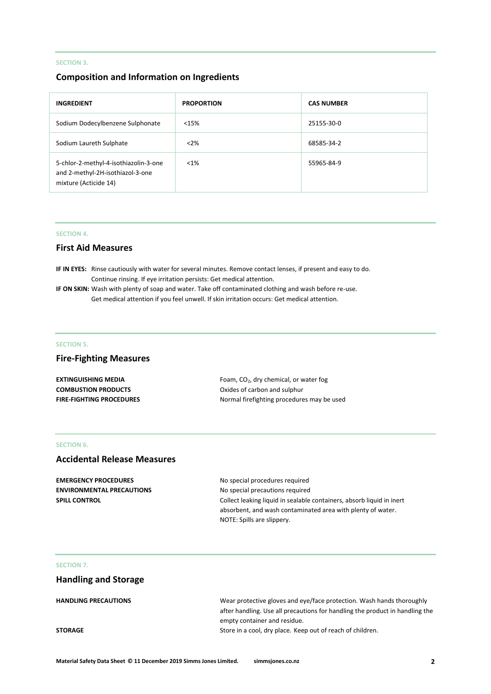### **SECTION 3.**

# **Composition and Information on Ingredients**

| <b>INGREDIENT</b>                                                                                  | <b>PROPORTION</b> | <b>CAS NUMBER</b> |
|----------------------------------------------------------------------------------------------------|-------------------|-------------------|
| Sodium Dodecylbenzene Sulphonate                                                                   | <15%              | 25155-30-0        |
| Sodium Laureth Sulphate                                                                            | < 2%              | 68585-34-2        |
| 5-chlor-2-methyl-4-isothiazolin-3-one<br>and 2-methyl-2H-isothiazol-3-one<br>mixture (Acticide 14) | $< 1\%$           | 55965-84-9        |

#### **SECTION 4.**

# **First Aid Measures**

**IF IN EYES:** Rinse cautiously with water for several minutes. Remove contact lenses, if present and easy to do. Continue rinsing. If eye irritation persists: Get medical attention.

**IF ON SKIN:** Wash with plenty of soap and water. Take off contaminated clothing and wash before re-use. Get medical attention if you feel unwell. If skin irritation occurs: Get medical attention.

#### **SECTION 5.**

# **Fire-Fighting Measures**

| EXTINGUISHING MEDIA        | Foam, $CO2$ , dry chemical, or water fog   |
|----------------------------|--------------------------------------------|
| <b>COMBUSTION PRODUCTS</b> | Oxides of carbon and sulphur               |
| FIRE-FIGHTING PROCEDURES   | Normal firefighting procedures may be used |

#### **SECTION 6.**

# **Accidental Release Measures**

| <b>EMERGENCY PROCEDURES</b>      |
|----------------------------------|
| <b>ENVIRONMENTAL PRECAUTIONS</b> |
| <b>SPILL CONTROL</b>             |

**EMERGENCY PROCEDURES** No special procedures required **No special precautions required** Collect leaking liquid in sealable containers, absorb liquid in inert absorbent, and wash contaminated area with plenty of water. NOTE: Spills are slippery.

# **SECTION 7.**

# **Handling and Storage**

| <b>HANDLING PRECAUTIONS</b> | Wear protective gloves and eye/face protection. Wash hands thoroughly        |
|-----------------------------|------------------------------------------------------------------------------|
|                             | after handling. Use all precautions for handling the product in handling the |
|                             | empty container and residue.                                                 |
| <b>STORAGE</b>              | Store in a cool, dry place. Keep out of reach of children.                   |
|                             |                                                                              |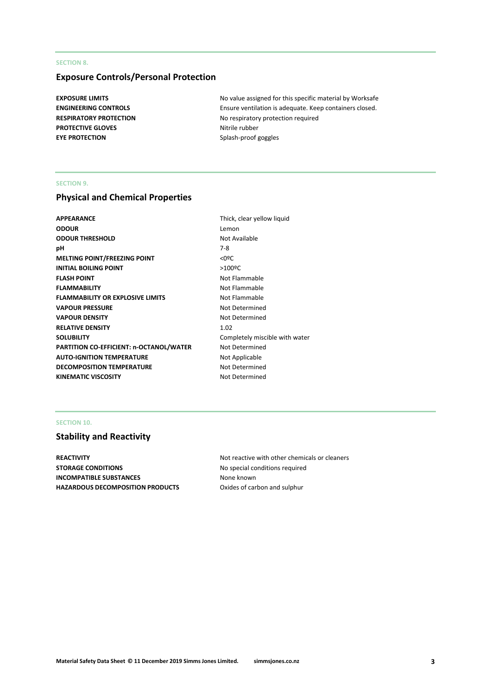## **SECTION 8.**

# **Exposure Controls/Personal Protection**

**PROTECTIVE GLOVES** Nitrile rubber **EYE PROTECTION** Splash-proof goggles

**EXPOSURE LIMITS EXPOSURE LIMITS No value assigned for this specific material by Worksafe ENGINEERING CONTROLS** Ensure ventilation is adequate. Keep containers closed. **RESPIRATORY PROTECTION** No respiratory protection required

#### **SECTION 9.**

# **Physical and Chemical Properties**

| APPEARANCE                                     | Thick, c             |
|------------------------------------------------|----------------------|
| <b>ODOUR</b>                                   | Lemon                |
| <b>ODOUR THRESHOLD</b>                         | Not Ava              |
| pН                                             | $7-8$                |
| MELTING POINT/FREEZING POINT                   | $<$ 0 <sup>o</sup> C |
| <b>INITIAL BOILING POINT</b>                   | $>100^{\circ}$ C     |
| <b>FLASH POINT</b>                             | Not Fla              |
| <b>FLAMMABILITY</b>                            | Not Fla              |
| <b>FLAMMABILITY OR EXPLOSIVE LIMITS</b>        | Not Fla              |
| VAPOUR PRESSURE                                | Not De               |
| <b>VAPOUR DENSITY</b>                          | Not De               |
| <b>RELATIVE DENSITY</b>                        | 1.02                 |
| SOLUBILITY                                     | Comple               |
| <b>PARTITION CO-EFFICIENT: n-OCTANOL/WATER</b> | Not De               |
| <b>AUTO-IGNITION TEMPERATURE</b>               | Not Ap               |
| <b>DECOMPOSITION TEMPERATURE</b>               | Not De               |
| <b>KINEMATIC VISCOSITY</b>                     | Not De               |
|                                                |                      |

Thick, clear yellow liquid Lemon **Not Available Not Flammable Not Flammable Not Flammable Not Determined Not Determined** Completely miscible with water **Not Determined Not Applicable Not Determined Not Determined** 

### **SECTION 10.**

# **Stability and Reactivity**

**STORAGE CONDITIONS** No special conditions required **INCOMPATIBLE SUBSTANCES** None known HAZARDOUS DECOMPOSITION PRODUCTS Oxides of carbon and sulphur

**REACTIVITY REACTIVITY Not reactive with other chemicals or cleaners**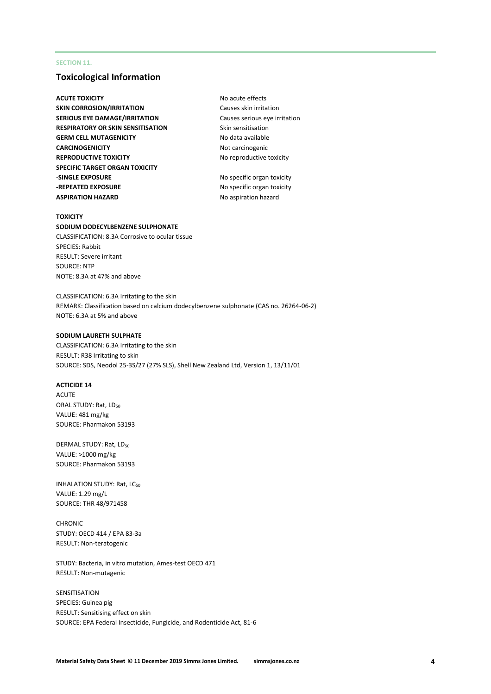#### **SECTION 11.**

# **Toxicological Information**

**ACUTE TOXICITY** ACUTE **TOXICITY** ACUTE **NO** acute effects **SKIN CORROSION/IRRITATION** Causes skin irritation **SERIOUS EYE DAMAGE/IRRITATION** Causes serious eye irritation **RESPIRATORY OR SKIN SENSITISATION** Skin sensitisation **GERM CELL MUTAGENICITY** No data available **CARCINOGENICITY** Not carcinogenic **REPRODUCTIVE TOXICITY** No reproductive toxicity **SPECIFIC TARGET ORGAN TOXICITY -SINGLE EXPOSURE** No specific organ toxicity **-REPEATED EXPOSURE** No specific organ toxicity **ASPIRATION HAZARD** No aspiration hazard

#### **TOXICITY**

#### **SODIUM DODECYLBENZENE SULPHONATE**

CLASSIFICATION: 8.3A Corrosive to ocular tissue SPECIES: Rabbit RESULT: Severe irritant SOURCE: NTP NOTE: 8.3A at 47% and above

CLASSIFICATION: 6.3A Irritating to the skin REMARK: Classification based on calcium dodecylbenzene sulphonate (CAS no. 26264-06-2) NOTE: 6.3A at 5% and above

#### **SODIUM LAURETH SULPHATE**

CLASSIFICATION: 6.3A Irritating to the skin RESULT: R38 Irritating to skin SOURCE: SDS, Neodol 25-3S/27 (27% SLS), Shell New Zealand Ltd, Version 1, 13/11/01

#### **ACTICIDE 14**

ACUTE ORAL STUDY: Rat, LD<sub>50</sub> VALUE: 481 mg/kg SOURCE: Pharmakon 53193

DERMAL STUDY: Rat, LD<sub>50</sub> VALUE: >1000 mg/kg SOURCE: Pharmakon 53193

INHALATION STUDY: Rat, LC<sub>50</sub> VALUE: 1.29 mg/L SOURCE: THR 48/971458

**CHRONIC** STUDY: OECD 414 / EPA 83-3a RESULT: Non-teratogenic

STUDY: Bacteria, in vitro mutation, Ames-test OECD 471 RESULT: Non-mutagenic

#### SENSITISATION

SPECIES: Guinea pig RESULT: Sensitising effect on skin SOURCE: EPA Federal Insecticide, Fungicide, and Rodenticide Act, 81-6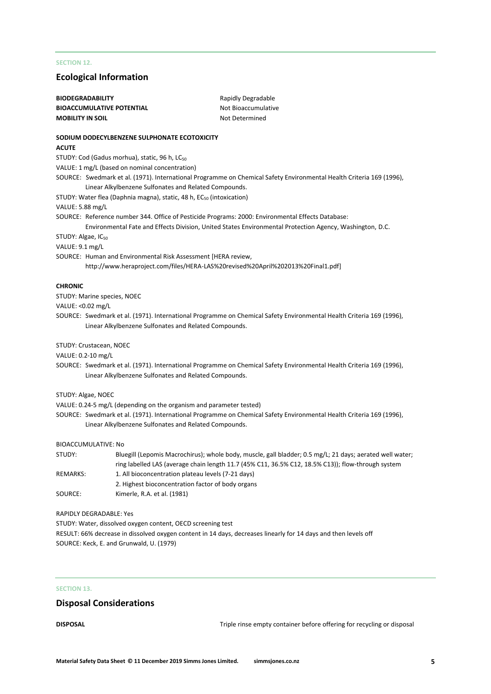# **SECTION 12.**

# **Ecological Information**

| <b>BIODEGRADABILITY</b><br><b>BIOACCUMULATIVE POTENTIAL</b> |                                                                                                         | Rapidly Degradable<br>Not Bioaccumulative                                                                                                                                                                      |
|-------------------------------------------------------------|---------------------------------------------------------------------------------------------------------|----------------------------------------------------------------------------------------------------------------------------------------------------------------------------------------------------------------|
| <b>MOBILITY IN SOIL</b>                                     |                                                                                                         | Not Determined                                                                                                                                                                                                 |
|                                                             |                                                                                                         |                                                                                                                                                                                                                |
| <b>ACUTE</b>                                                | SODIUM DODECYLBENZENE SULPHONATE ECOTOXICITY                                                            |                                                                                                                                                                                                                |
|                                                             | STUDY: Cod (Gadus morhua), static, 96 h, LC <sub>50</sub>                                               |                                                                                                                                                                                                                |
|                                                             | VALUE: 1 mg/L (based on nominal concentration)                                                          |                                                                                                                                                                                                                |
|                                                             | Linear Alkylbenzene Sulfonates and Related Compounds.                                                   | SOURCE: Swedmark et al. (1971). International Programme on Chemical Safety Environmental Health Criteria 169 (1996),                                                                                           |
|                                                             | STUDY: Water flea (Daphnia magna), static, 48 h, EC <sub>50</sub> (intoxication)                        |                                                                                                                                                                                                                |
| VALUE: 5.88 mg/L                                            |                                                                                                         |                                                                                                                                                                                                                |
|                                                             |                                                                                                         | SOURCE: Reference number 344. Office of Pesticide Programs: 2000: Environmental Effects Database:<br>Environmental Fate and Effects Division, United States Environmental Protection Agency, Washington, D.C.  |
| STUDY: Algae, IC <sub>50</sub>                              |                                                                                                         |                                                                                                                                                                                                                |
| VALUE: 9.1 mg/L                                             |                                                                                                         |                                                                                                                                                                                                                |
|                                                             | SOURCE: Human and Environmental Risk Assessment [HERA review,                                           | http://www.heraproject.com/files/HERA-LAS%20revised%20April%202013%20Final1.pdf]                                                                                                                               |
| <b>CHRONIC</b>                                              |                                                                                                         |                                                                                                                                                                                                                |
| STUDY: Marine species, NOEC                                 |                                                                                                         |                                                                                                                                                                                                                |
| VALUE: < 0.02 mg/L                                          |                                                                                                         |                                                                                                                                                                                                                |
|                                                             |                                                                                                         | SOURCE: Swedmark et al. (1971). International Programme on Chemical Safety Environmental Health Criteria 169 (1996),                                                                                           |
|                                                             | Linear Alkylbenzene Sulfonates and Related Compounds.                                                   |                                                                                                                                                                                                                |
| STUDY: Crustacean, NOEC                                     |                                                                                                         |                                                                                                                                                                                                                |
| VALUE: 0.2-10 mg/L                                          |                                                                                                         |                                                                                                                                                                                                                |
|                                                             | Linear Alkylbenzene Sulfonates and Related Compounds.                                                   | SOURCE: Swedmark et al. (1971). International Programme on Chemical Safety Environmental Health Criteria 169 (1996),                                                                                           |
| STUDY: Algae, NOEC                                          |                                                                                                         |                                                                                                                                                                                                                |
|                                                             | VALUE: 0.24-5 mg/L (depending on the organism and parameter tested)                                     |                                                                                                                                                                                                                |
|                                                             | Linear Alkylbenzene Sulfonates and Related Compounds.                                                   | SOURCE: Swedmark et al. (1971). International Programme on Chemical Safety Environmental Health Criteria 169 (1996),                                                                                           |
| <b>BIOACCUMULATIVE: No</b>                                  |                                                                                                         |                                                                                                                                                                                                                |
| STUDY:                                                      |                                                                                                         | Bluegill (Lepomis Macrochirus); whole body, muscle, gall bladder; 0.5 mg/L; 21 days; aerated well water;<br>ring labelled LAS (average chain length 11.7 (45% C11, 36.5% C12, 18.5% C13)); flow-through system |
| REMARKS:                                                    | 1. All bioconcentration plateau levels (7-21 days)<br>2. Highest bioconcentration factor of body organs |                                                                                                                                                                                                                |
| SOURCE:                                                     | Kimerle, R.A. et al. (1981)                                                                             |                                                                                                                                                                                                                |
| <b>RAPIDLY DEGRADABLE: Yes</b>                              |                                                                                                         |                                                                                                                                                                                                                |
|                                                             | STUDY: Water, dissolved oxygen content, OECD screening test                                             |                                                                                                                                                                                                                |
|                                                             |                                                                                                         | RESULT: 66% decrease in dissolved oxygen content in 14 days, decreases linearly for 14 days and then levels off                                                                                                |
|                                                             | SOURCE: Keck, E. and Grunwald, U. (1979)                                                                |                                                                                                                                                                                                                |

# **SECTION 13.**

# **Disposal Considerations**

**DISPOSAL** DISPOSAL **DISPOSAL Triple rinse empty container before offering for recycling or disposal**